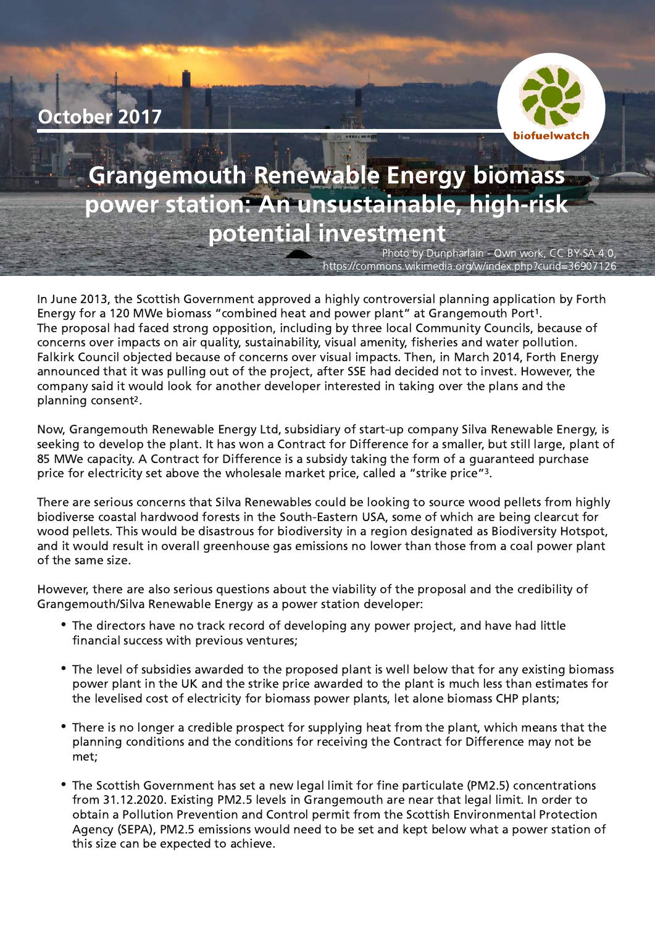



# **Grangemouth Renewable Energy biomass** power station: An unsustainable, high-risk potential investment

Photo by Dunpharlain - Own work, CC BY-SA 4.0, https://commons.wikimedia.org/w/index.php?curid=36907126

In June 2013, the Scottish Government approved a highly controversial planning application by Forth Energy for a 120 MWe biomass "combined heat and power plant" at Grangemouth Port<sup>1</sup> j The proposal had faced strong opposition, including by three local Community Councils, because of concerns over impacts on air quality, sustainability, visual amenity, fisheries and water pollution. Falkirk Council objected because of concerns over visual impacts. Then, in March 2014, Forth Energy announced that it was pulling out of the project, after SSE had decided not to invest. However, the company said it would look for another developer interested in taking over the plans and the planning consent<sup>2</sup> .

Now, Grangemouth Renewable Energy Ltd, subsidiary of start-up company Silva Renewable Energy, is seeking to develop the plant. It has won a Contract for Difference for a smaller, but still large, plant of 85 MWe capacity. A Contract for Difference is a subsidy taking the form of a quaranteed purchase price for electricity set above the wholesale market price, called a "strike price"<sup>3</sup> Ì,

There are serious concerns that Silva Renewables could be looking to source wood pellets from highly biodiverse coastal hardwood forests in the South-Eastern USA, some of which are being clearcut for wood pellets. This would be disastrous for biodiversity in a region designated as Biodiversity Hotspot, and it would result in overall greenhouse gas emissions no lower than those from a coal power plant of the same size.

However, there are also serious questions about the viability of the proposal and the credibility of Grangemouth/Silva Renewable Energy as a power station developer:

- The directors have no track record of developing any power project, and have had little financial success with previous ventures;
- $\bullet$  The level of subsidies awarded to the proposed plant is well below that for any existing biomass power plant in the UK and the strike price awarded to the plant is much less than estimates for the levelised cost of electricity for biomass power plants, let alone biomass CHP plants;
- There is no longer a credible prospect for supplying heat from the plant, which means that the planning conditions and the conditions for receiving the Contract for Difference may not be met:
- The Scottish Government has set a new legal limit for fine particulate (PM2.5) concentrations from 31.12.2020. Existing PM2.5 levels in Grangemouth are near that legal limit. In order to obtain a Pollution Prevention and Control permit from the Scottish Environmental Protection Agency (SEPA), PM2.5 emissions would need to be set and kept below what a power station of this size can be expected to achieve.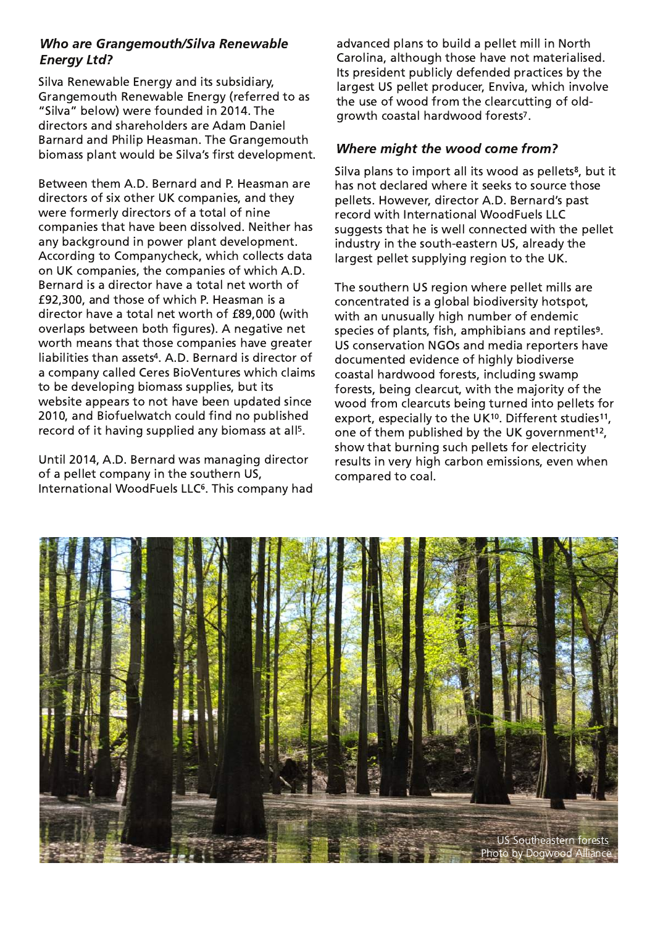# **Who are Grangemouth/Silva Renewable Energy Ltd?**

Silva Renewable Energy and its subsidiary, Grangemouth Renewable Energy (referred to as "Silva" below) were founded in 2014. The  $\,$ directors and shareholders are Adam Daniel Barnard and Philip Heasman. The Grangemouth biomass plant would be Silva's first development.

Between them A.D. Bernard and P. Heasman are directors of six other UK companies, and they were formerly directors of a total of nine companies that have been dissolved. Neither has any background in power plant development. According to Companycheck, which collects data on UK companies, the companies of which A.D. Bernard is a director have a total net worth of £92,300, and those of which P. Heasman is a director have a total net worth of £89,000 (with overlaps between both figures). A negative net worth means that those companies have greater liabilities than assets<sup>4</sup>. A.D. Bernard is director of a company called Ceres BioVentures which claims to be developing biomass supplies, but its website appears to not have been updated since 2010, and Biofuelwatch could find no published record of it having supplied any biomass at all<sup>5</sup>. l,

Until 2014, A.D. Bernard was managing director of a pellet company in the southern US, International WoodFuels LLC<sup>6</sup>. This company had advanced plans to build a pellet mill in North Carolina, although those have not materialised. Its president publicly defended practices by the largest US pellet producer, Enviva, which involve the use of wood from the clearcutting of oldgrowth coastal hardwood forests<sup>7</sup> .<br>.

## **Where might the wood come from?**

Silva plans to import all its wood as pellets<sup>8</sup>, but it has not declared where it seeks to source those pellets. However, director A.D. Bernard's past record with International WoodFuels LLC suggests that he is well connected with the pellet industry in the south-eastern US, already the largest pellet supplying region to the UK.

The southern US region where pellet mills are concentrated is a global biodiversity hotspot. with an unusually high number of endemic species of plants, fish, amphibians and reptiles<sup>9</sup>. US conservation NGOs and media reporters have documented evidence of highly biodiverse coastal hardwood forests, including swamp forests, being clearcut, with the majority of the wood from clearcuts being turned into pellets for export, especially to the UK<sup>10</sup>. Different studies<sup>11</sup> , one of them published by the UK government<sup>12</sup> .<br>| show that burning such pellets for electricity results in very high carbon emissions, even when compared to coal.

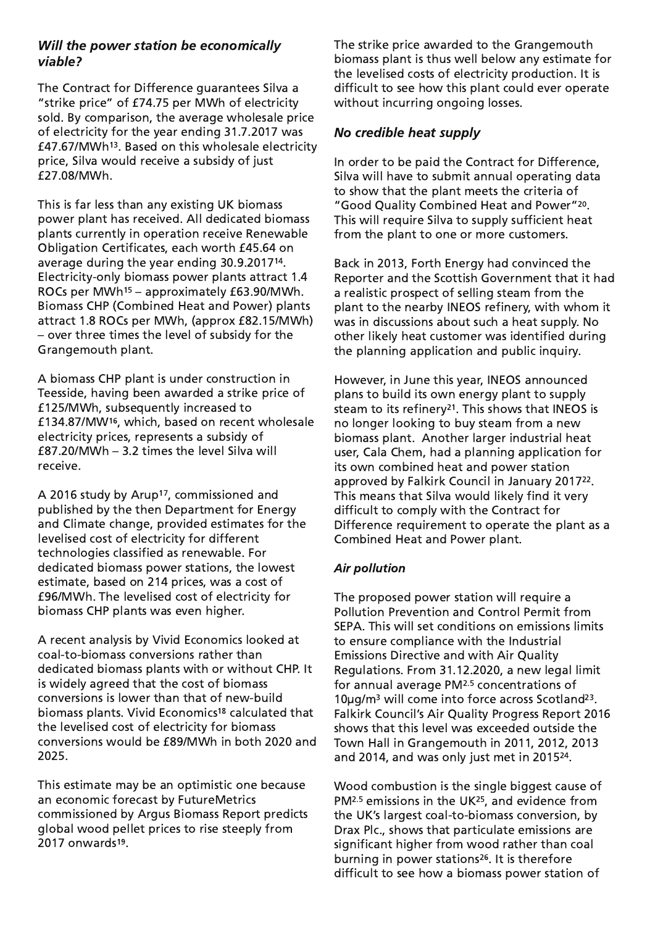### Will the power station be economically viable?

The Contract for Difference quarantees Silva a "strike price" of £74.75 per MWh of electricity sold. By comparison, the average wholesale price of electricity for the year ending 31.7.2017 was  $\verb|£47.67/MWh^{13}$ . Based on this wholesale electricity price, Silva would receive a subsidy of just £27.08/MWh.

This is far less than any existing UK biomass power plant has received. All dedicated biomass plants currently in operation receive Renewable Obligation Certificates, each worth £45.64 on average during the year ending  $30.9.2017$ 14. Electricity-only biomass power plants attract 1.4 ROCs per MWh $^{15}$  – approximately £63.90/MWh. Biomass CHP (Combined Heat and Power) plants attract 1.8 ROCs per MWh, (approx £82.15/MWh) - over three times the level of subsidy for the Grangemouth plant.

A biomass CHP plant is under construction in Teesside, having been awarded a strike price of £125/MWh, subsequently increased to  $E$ 134.87/MW16, which, based on recent wholesale electricity prices, represents a subsidy of  $E$ 87.20/MWh - 3.2 times the level Silva will receive.

A 2016 study by Arup<sup>17</sup>, commissioned and published by the then Department for Energy and Climate change, provided estimates for the levelised cost of electricity for different technologies classified as renewable. For dedicated biomass power stations, the lowest estimate, based on 214 prices, was a cost of £96/MWh. The levelised cost of electricity for biomass CHP plants was even higher.

A recent analysis by Vivid Economics looked at coal-to-biomass conversions rather than dedicated biomass plants with or without CHP. It is widely agreed that the cost of biomass conversions is lower than that of new-build biomass plants. Vivid Economics<sup>18</sup> calculated that the levelised cost of electricity for biomass conversions would be  $£89/MWh$  in both 2020 and 2025.

This estimate may be an optimistic one because an economic forecast by FutureMetrics commissioned by Argus Biomass Report predicts global wood pellet prices to rise steeply from 2017 onwards<sup>19</sup>.

The strike price awarded to the Grangemouth biomass plant is thus well below any estimate for the levelised costs of electricity production. It is difficult to see how this plant could ever operate without incurring ongoing losses.

# No credible heat supply

In order to be paid the Contract for Difference, Silva will have to submit annual operating data to show that the plant meets the criteria of "Good Quality Combined Heat and Power"<sup>20</sup> This will require Silva to supply sufficient heat from the plant to one or more customers.

Back in 2013, Forth Energy had convinced the Reporter and the Scottish Government that it had a realistic prospect of selling steam from the plant to the nearby INEOS refinery, with whom it was in discussions about such a heat supply. No other likely heat customer was identified during the planning application and public inquiry.

However, in June this year, INEOS announced plans to build its own energy plant to supply steam to its refinery $^{21}$ . This shows that INEOS is no longer looking to buy steam from a new biomass plant. Another larger industrial heat user, Cala Chem, had a planning application for its own combined heat and power station approved by Falkirk Council in January 2017<sup>22</sup>  $\ddot{\cdot}$ This means that Silva would likely find it very difficult to comply with the Contract for Difference requirement to operate the plant as a Combined Heat and Power plant.

#### Air pollution

The proposed power station will require a Pollution Prevention and Control Permit from SEPA. This will set conditions on emissions limits to ensure compliance with the Industrial Emissions Directive and with Air Quality Regulations. From 31.12.2020, a new legal limit for annual average  $PM^{2.5}$  concentrations of  $10\mu$ g/m<sup>3</sup> will come into force across Scotland<sup>23</sup> i. Falkirk Council's Air Quality Progress Report 2016 shows that this level was exceeded outside the Town Hall in Grangemouth in 2011, 2012, 2013 and 2014, and was only just met in 2015 $^{24}$ .

Wood combustion is the single biggest cause of  $PM<sup>2.5</sup>$  emissions in the UK<sup>25</sup>, and evidence from the UK's largest coal-to-biomass conversion, by Drax Plc., shows that particulate emissions are significant higher from wood rather than coal burning in power stations<sup>26</sup>. It is therefore difficult to see how a biomass power station of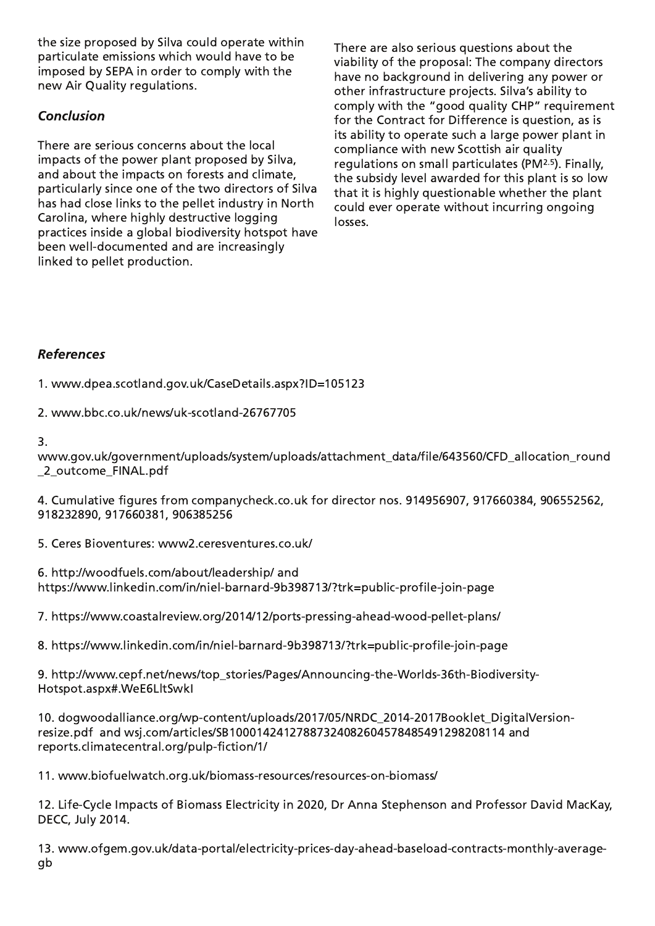the size proposed by Silva could operate within particulate emissions which would have to be imposed by SEPA in order to comply with the new Air Quality regulations.

# **Conclusion**

There are serious concerns about the local impacts of the power plant proposed by Silva, and about the impacts on forests and climate, particularly since one of the two directors of Silva has had close links to the pellet industry in North Carolina, where highly destructive logging practices inside a global biodiversity hotspot have been well-documented and are increasingly linked to pellet production.

There are also serious questions about the viability of the proposal: The company directors have no background in delivering any power or other infrastructure projects. Silva's ability to comply with the "good quality CHP" requirement for the Contract for Difference is question, as is its ability to operate such a large power plant in compliance with new Scottish air quality regulations on small particulates (PM<sup>2.5</sup>). Finally, the subsidy level awarded for this plant is so low that it is highly questionable whether the plant could ever operate without incurring ongoing losses.

## **References**

1. www.dpea.scotland.gov.uk/CaseDetails.aspx?ID=105123

2. www.bbc.co.uk/news/uk-scotland-26767705

## $\mathbf{R}$

www.gov.uk/government/uploads/system/uploads/attachment data/file/643560/CFD allocation round \_2\_outcome\_FINAL.pdf

4. Cumulative figures from companycheck.co.uk for director nos. 914956907, 917660384, 906552562, 918232890, 917660381, 906385256

5. Ceres Bioventures: www2.ceresventures.co.uk/

6. http://woodfuels.com/about/leadership/ and https://www.linkedin.com/in/niel-barnard-9b398713/?trk=public-profile-join-page

7. https://www.coastalreview.org/2014/12/ports-pressing-ahead-wood-pellet-plans/

8. https://www.linkedin.com/in/niel-barnard-9b398713/?trk=public-profile-join-page

9. http://www.cepf.net/news/top\_stories/Pages/Announcing-the-Worlds-36th-Biodiversity-Hotspot.aspx#.WeE6LltSwkl

10. dogwoodalliance.org/wp-content/uploads/2017/05/NRDC\_2014-2017Booklet\_DigitalVersionresize.pdf and wsj.com/articles/SB10001424127887324082604578485491298208114 and /reports.climatecentral.org/pulp-fiction/1

11. www.biofuelwatch.org.uk/biomass-resources/resources-on-biomass/

12. Life-Cycle Impacts of Biomass Electricity in 2020, Dr Anna Stephenson and Professor David MacKay, DECC, July 2014.

13. www.ofgem.gov.uk/data-portal/electricity-prices-day-ahead-baseload-contracts-monthly-averageqb